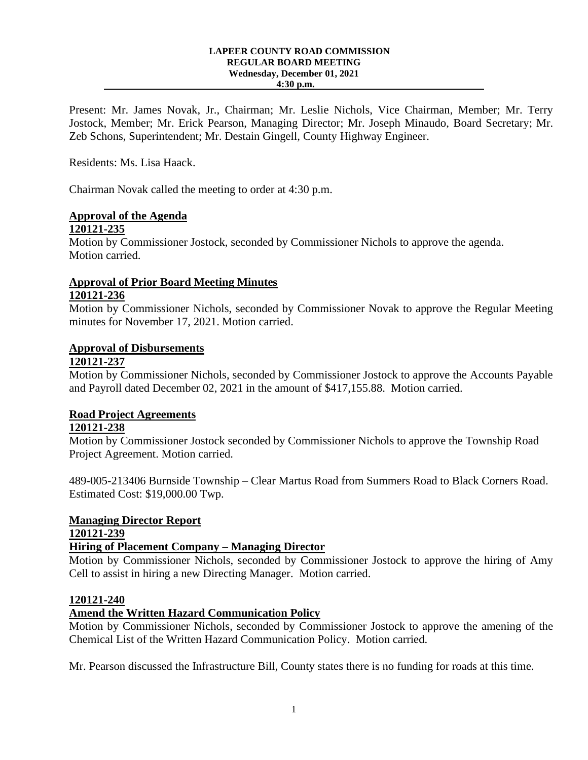#### **LAPEER COUNTY ROAD COMMISSION REGULAR BOARD MEETING Wednesday, December 01, 2021 4:30 p.m.**

Present: Mr. James Novak, Jr., Chairman; Mr. Leslie Nichols, Vice Chairman, Member; Mr. Terry Jostock, Member; Mr. Erick Pearson, Managing Director; Mr. Joseph Minaudo, Board Secretary; Mr. Zeb Schons, Superintendent; Mr. Destain Gingell, County Highway Engineer.

Residents: Ms. Lisa Haack.

Chairman Novak called the meeting to order at 4:30 p.m.

# **Approval of the Agenda**

## **120121-235**

Motion by Commissioner Jostock, seconded by Commissioner Nichols to approve the agenda. Motion carried.

### **Approval of Prior Board Meeting Minutes 120121-236**

Motion by Commissioner Nichols, seconded by Commissioner Novak to approve the Regular Meeting minutes for November 17, 2021. Motion carried.

### **Approval of Disbursements**

### **120121-237**

Motion by Commissioner Nichols, seconded by Commissioner Jostock to approve the Accounts Payable and Payroll dated December 02, 2021 in the amount of \$417,155.88. Motion carried.

## **Road Project Agreements**

### **120121-238**

Motion by Commissioner Jostock seconded by Commissioner Nichols to approve the Township Road Project Agreement. Motion carried.

489-005-213406 Burnside Township – Clear Martus Road from Summers Road to Black Corners Road. Estimated Cost: \$19,000.00 Twp.

## **Managing Director Report**

**120121-239**

## **Hiring of Placement Company – Managing Director**

Motion by Commissioner Nichols, seconded by Commissioner Jostock to approve the hiring of Amy Cell to assist in hiring a new Directing Manager. Motion carried.

### **120121-240**

### **Amend the Written Hazard Communication Policy**

Motion by Commissioner Nichols, seconded by Commissioner Jostock to approve the amening of the Chemical List of the Written Hazard Communication Policy. Motion carried.

Mr. Pearson discussed the Infrastructure Bill, County states there is no funding for roads at this time.